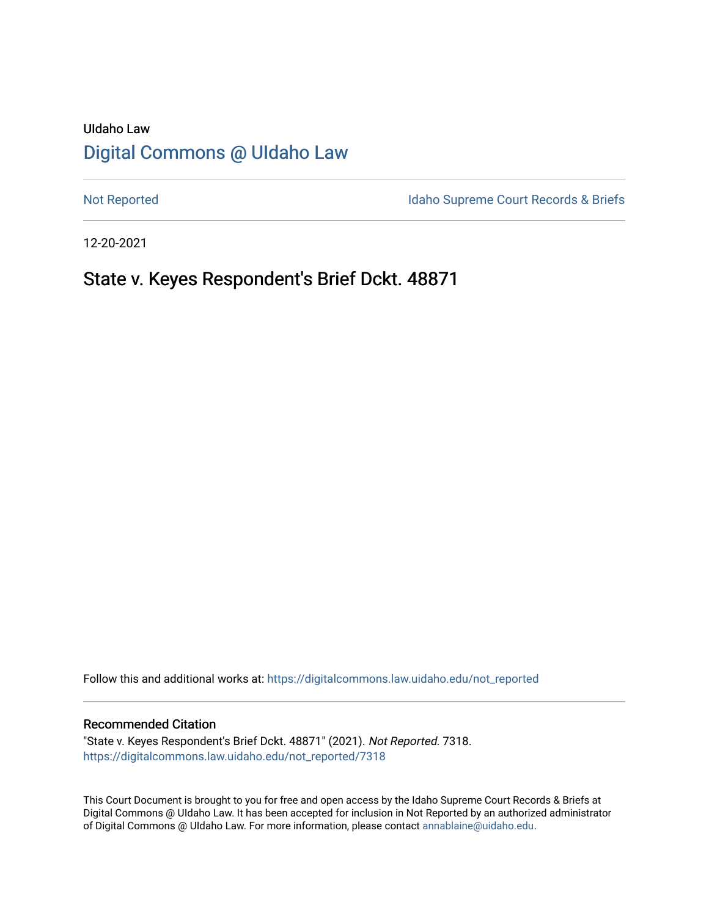# UIdaho Law [Digital Commons @ UIdaho Law](https://digitalcommons.law.uidaho.edu/)

[Not Reported](https://digitalcommons.law.uidaho.edu/not_reported) **Idaho Supreme Court Records & Briefs** 

12-20-2021

# State v. Keyes Respondent's Brief Dckt. 48871

Follow this and additional works at: [https://digitalcommons.law.uidaho.edu/not\\_reported](https://digitalcommons.law.uidaho.edu/not_reported?utm_source=digitalcommons.law.uidaho.edu%2Fnot_reported%2F7318&utm_medium=PDF&utm_campaign=PDFCoverPages) 

#### Recommended Citation

"State v. Keyes Respondent's Brief Dckt. 48871" (2021). Not Reported. 7318. [https://digitalcommons.law.uidaho.edu/not\\_reported/7318](https://digitalcommons.law.uidaho.edu/not_reported/7318?utm_source=digitalcommons.law.uidaho.edu%2Fnot_reported%2F7318&utm_medium=PDF&utm_campaign=PDFCoverPages)

This Court Document is brought to you for free and open access by the Idaho Supreme Court Records & Briefs at Digital Commons @ UIdaho Law. It has been accepted for inclusion in Not Reported by an authorized administrator of Digital Commons @ UIdaho Law. For more information, please contact [annablaine@uidaho.edu](mailto:annablaine@uidaho.edu).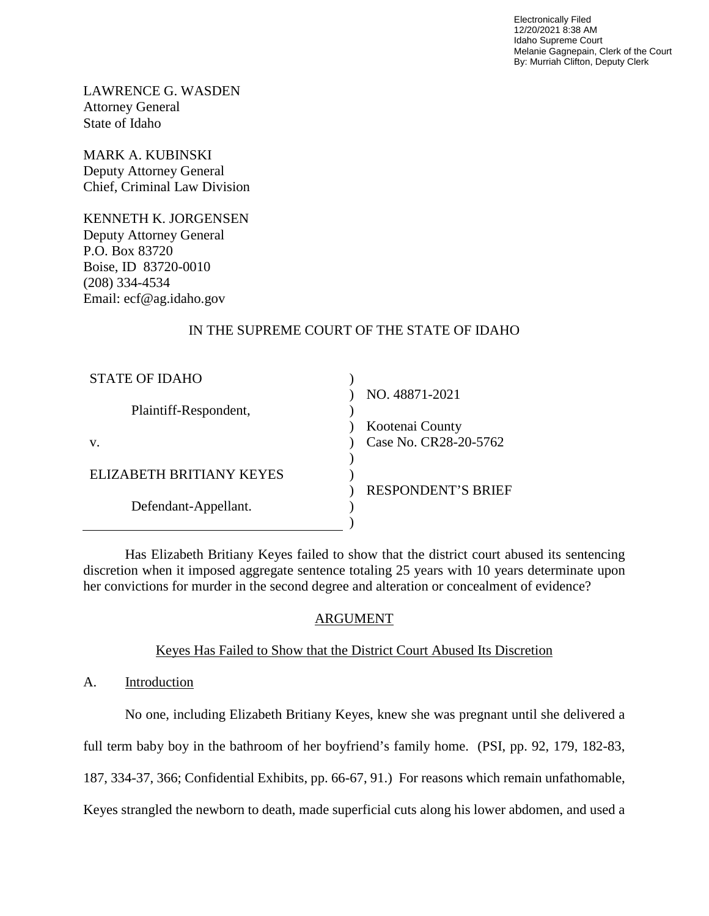Electronically Filed 12/20/2021 8:38 AM Idaho Supreme Court Melanie Gagnepain, Clerk of the Court By: Murriah Clifton, Deputy Clerk

LAWRENCE G. WASDEN Attorney General State of Idaho

MARK A. KUBINSKI Deputy Attorney General Chief, Criminal Law Division

KENNETH K. JORGENSEN Deputy Attorney General P.O. Box 83720 Boise, ID 83720-0010 (208) 334-4534 Email: ecf@ag.idaho.gov

## IN THE SUPREME COURT OF THE STATE OF IDAHO

| <b>STATE OF IDAHO</b>    |                           |
|--------------------------|---------------------------|
|                          | NO. 48871-2021            |
| Plaintiff-Respondent,    |                           |
|                          | Kootenai County           |
| V.                       | Case No. CR28-20-5762     |
|                          |                           |
| ELIZABETH BRITIANY KEYES |                           |
|                          | <b>RESPONDENT'S BRIEF</b> |
| Defendant-Appellant.     |                           |
|                          |                           |

Has Elizabeth Britiany Keyes failed to show that the district court abused its sentencing discretion when it imposed aggregate sentence totaling 25 years with 10 years determinate upon her convictions for murder in the second degree and alteration or concealment of evidence?

## ARGUMENT

### Keyes Has Failed to Show that the District Court Abused Its Discretion

A. Introduction

No one, including Elizabeth Britiany Keyes, knew she was pregnant until she delivered a

full term baby boy in the bathroom of her boyfriend's family home. (PSI, pp. 92, 179, 182-83,

187, 334-37, 366; Confidential Exhibits, pp. 66-67, 91.) For reasons which remain unfathomable,

Keyes strangled the newborn to death, made superficial cuts along his lower abdomen, and used a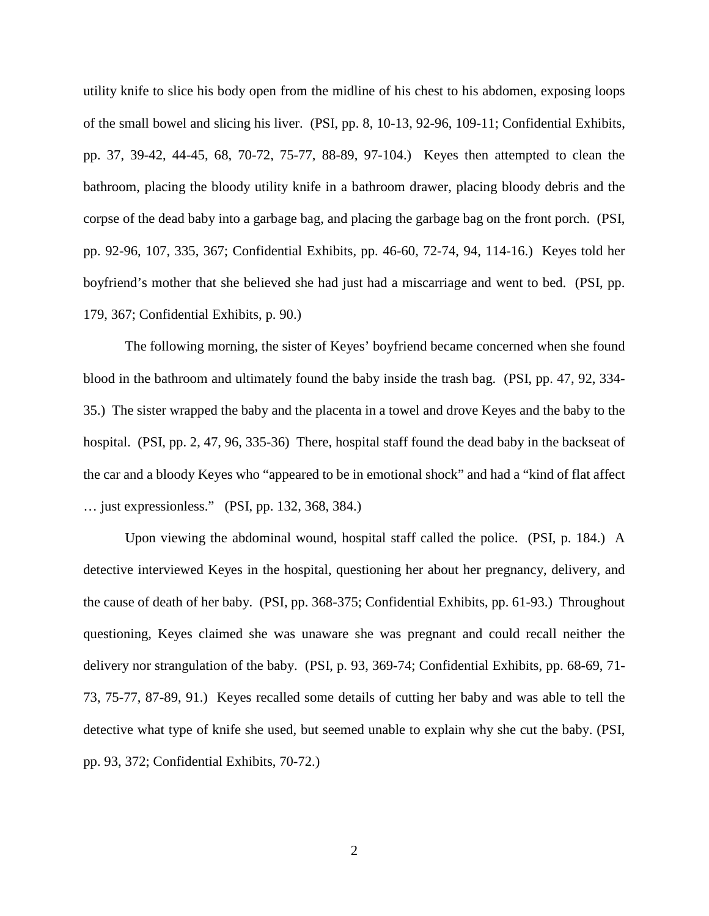utility knife to slice his body open from the midline of his chest to his abdomen, exposing loops of the small bowel and slicing his liver. (PSI, pp. 8, 10-13, 92-96, 109-11; Confidential Exhibits, pp. 37, 39-42, 44-45, 68, 70-72, 75-77, 88-89, 97-104.) Keyes then attempted to clean the bathroom, placing the bloody utility knife in a bathroom drawer, placing bloody debris and the corpse of the dead baby into a garbage bag, and placing the garbage bag on the front porch. (PSI, pp. 92-96, 107, 335, 367; Confidential Exhibits, pp. 46-60, 72-74, 94, 114-16.) Keyes told her boyfriend's mother that she believed she had just had a miscarriage and went to bed. (PSI, pp. 179, 367; Confidential Exhibits, p. 90.)

The following morning, the sister of Keyes' boyfriend became concerned when she found blood in the bathroom and ultimately found the baby inside the trash bag. (PSI, pp. 47, 92, 334- 35.) The sister wrapped the baby and the placenta in a towel and drove Keyes and the baby to the hospital. (PSI, pp. 2, 47, 96, 335-36) There, hospital staff found the dead baby in the backseat of the car and a bloody Keyes who "appeared to be in emotional shock" and had a "kind of flat affect … just expressionless." (PSI, pp. 132, 368, 384.)

Upon viewing the abdominal wound, hospital staff called the police. (PSI, p. 184.) A detective interviewed Keyes in the hospital, questioning her about her pregnancy, delivery, and the cause of death of her baby. (PSI, pp. 368-375; Confidential Exhibits, pp. 61-93.) Throughout questioning, Keyes claimed she was unaware she was pregnant and could recall neither the delivery nor strangulation of the baby. (PSI, p. 93, 369-74; Confidential Exhibits, pp. 68-69, 71- 73, 75-77, 87-89, 91.) Keyes recalled some details of cutting her baby and was able to tell the detective what type of knife she used, but seemed unable to explain why she cut the baby. (PSI, pp. 93, 372; Confidential Exhibits, 70-72.)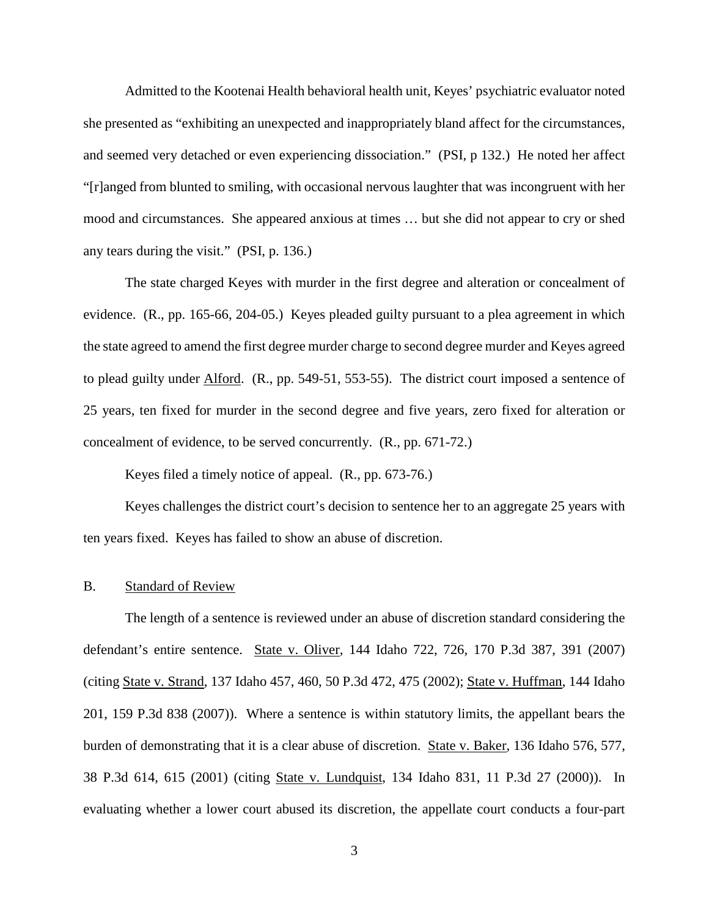Admitted to the Kootenai Health behavioral health unit, Keyes' psychiatric evaluator noted she presented as "exhibiting an unexpected and inappropriately bland affect for the circumstances, and seemed very detached or even experiencing dissociation." (PSI, p 132.) He noted her affect "[r]anged from blunted to smiling, with occasional nervous laughter that was incongruent with her mood and circumstances. She appeared anxious at times … but she did not appear to cry or shed any tears during the visit." (PSI, p. 136.)

The state charged Keyes with murder in the first degree and alteration or concealment of evidence. (R., pp. 165-66, 204-05.) Keyes pleaded guilty pursuant to a plea agreement in which the state agreed to amend the first degree murder charge to second degree murder and Keyes agreed to plead guilty under Alford. (R., pp. 549-51, 553-55). The district court imposed a sentence of 25 years, ten fixed for murder in the second degree and five years, zero fixed for alteration or concealment of evidence, to be served concurrently. (R., pp. 671-72.)

Keyes filed a timely notice of appeal. (R., pp. 673-76.)

Keyes challenges the district court's decision to sentence her to an aggregate 25 years with ten years fixed. Keyes has failed to show an abuse of discretion.

#### B. Standard of Review

The length of a sentence is reviewed under an abuse of discretion standard considering the defendant's entire sentence. State v. Oliver, 144 Idaho 722, 726, 170 P.3d 387, 391 (2007) (citing State v. Strand, 137 Idaho 457, 460, 50 P.3d 472, 475 (2002); State v. Huffman, 144 Idaho 201, 159 P.3d 838 (2007)). Where a sentence is within statutory limits, the appellant bears the burden of demonstrating that it is a clear abuse of discretion. State v. Baker, 136 Idaho 576, 577, 38 P.3d 614, 615 (2001) (citing State v. Lundquist, 134 Idaho 831, 11 P.3d 27 (2000)). In evaluating whether a lower court abused its discretion, the appellate court conducts a four-part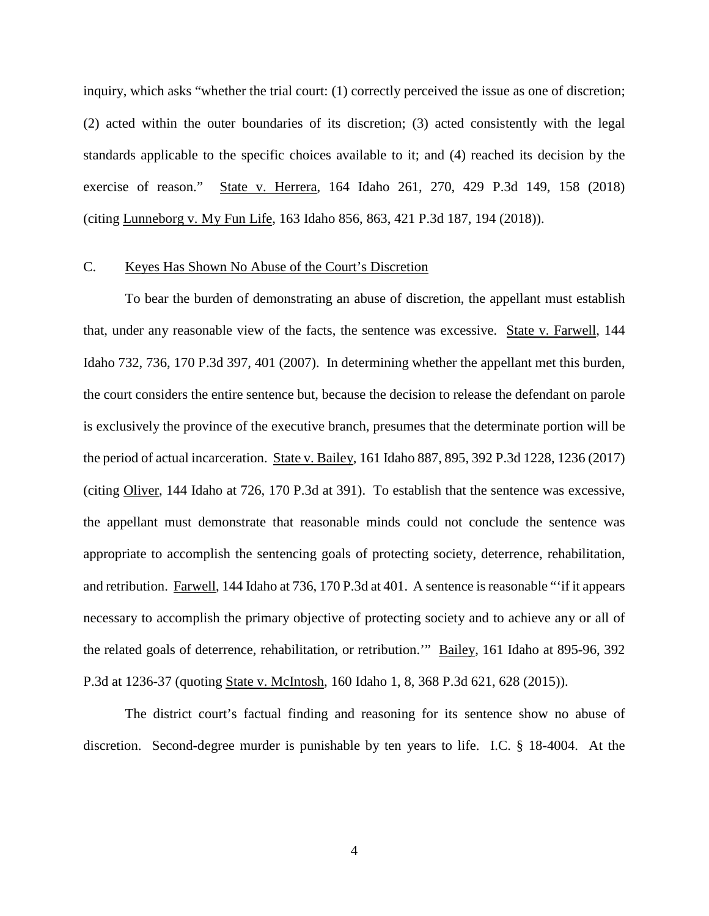inquiry, which asks "whether the trial court: (1) correctly perceived the issue as one of discretion; (2) acted within the outer boundaries of its discretion; (3) acted consistently with the legal standards applicable to the specific choices available to it; and (4) reached its decision by the exercise of reason." State v. Herrera, 164 Idaho 261, 270, 429 P.3d 149, 158 (2018) (citing Lunneborg v. My Fun Life, 163 Idaho 856, 863, 421 P.3d 187, 194 (2018)).

#### C. Keyes Has Shown No Abuse of the Court's Discretion

To bear the burden of demonstrating an abuse of discretion, the appellant must establish that, under any reasonable view of the facts, the sentence was excessive. State v. Farwell, 144 Idaho 732, 736, 170 P.3d 397, 401 (2007). In determining whether the appellant met this burden, the court considers the entire sentence but, because the decision to release the defendant on parole is exclusively the province of the executive branch, presumes that the determinate portion will be the period of actual incarceration. State v. Bailey, 161 Idaho 887, 895, 392 P.3d 1228, 1236 (2017) (citing Oliver, 144 Idaho at 726, 170 P.3d at 391). To establish that the sentence was excessive, the appellant must demonstrate that reasonable minds could not conclude the sentence was appropriate to accomplish the sentencing goals of protecting society, deterrence, rehabilitation, and retribution. Farwell, 144 Idaho at 736, 170 P.3d at 401. A sentence is reasonable "'if it appears necessary to accomplish the primary objective of protecting society and to achieve any or all of the related goals of deterrence, rehabilitation, or retribution.'" Bailey, 161 Idaho at 895-96, 392 P.3d at 1236-37 (quoting State v. McIntosh, 160 Idaho 1, 8, 368 P.3d 621, 628 (2015)).

The district court's factual finding and reasoning for its sentence show no abuse of discretion. Second-degree murder is punishable by ten years to life. I.C. § 18-4004. At the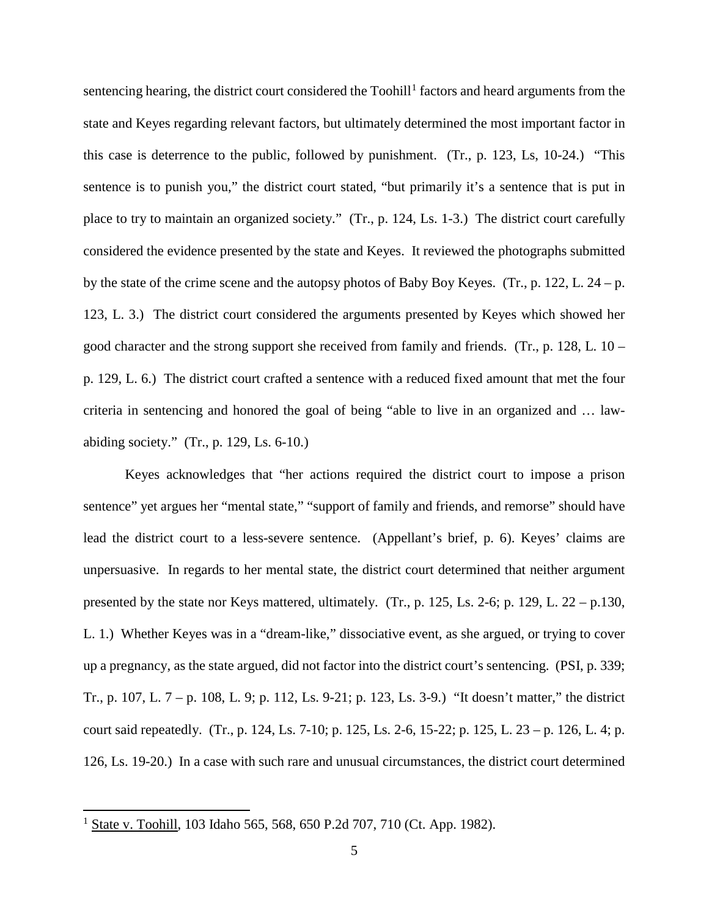sentencing hearing, the district court considered the Toohill<sup>[1](#page-5-0)</sup> factors and heard arguments from the state and Keyes regarding relevant factors, but ultimately determined the most important factor in this case is deterrence to the public, followed by punishment. (Tr., p. 123, Ls, 10-24.) "This sentence is to punish you," the district court stated, "but primarily it's a sentence that is put in place to try to maintain an organized society." (Tr., p. 124, Ls. 1-3.) The district court carefully considered the evidence presented by the state and Keyes. It reviewed the photographs submitted by the state of the crime scene and the autopsy photos of Baby Boy Keyes. (Tr., p. 122, L. 24 – p. 123, L. 3.) The district court considered the arguments presented by Keyes which showed her good character and the strong support she received from family and friends. (Tr., p. 128, L.  $10$ p. 129, L. 6.) The district court crafted a sentence with a reduced fixed amount that met the four criteria in sentencing and honored the goal of being "able to live in an organized and … lawabiding society." (Tr., p. 129, Ls. 6-10.)

Keyes acknowledges that "her actions required the district court to impose a prison sentence" yet argues her "mental state," "support of family and friends, and remorse" should have lead the district court to a less-severe sentence. (Appellant's brief, p. 6). Keyes' claims are unpersuasive. In regards to her mental state, the district court determined that neither argument presented by the state nor Keys mattered, ultimately. (Tr., p. 125, Ls. 2-6; p. 129, L. 22 – p.130, L. 1.) Whether Keyes was in a "dream-like," dissociative event, as she argued, or trying to cover up a pregnancy, as the state argued, did not factor into the district court's sentencing. (PSI, p. 339; Tr., p. 107, L. 7 – p. 108, L. 9; p. 112, Ls. 9-21; p. 123, Ls. 3-9.) "It doesn't matter," the district court said repeatedly. (Tr., p. 124, Ls. 7-10; p. 125, Ls. 2-6, 15-22; p. 125, L. 23 – p. 126, L. 4; p. 126, Ls. 19-20.) In a case with such rare and unusual circumstances, the district court determined

 $\overline{a}$ 

<span id="page-5-0"></span><sup>&</sup>lt;sup>1</sup> State v. Toohill, 103 Idaho 565, 568, 650 P.2d 707, 710 (Ct. App. 1982).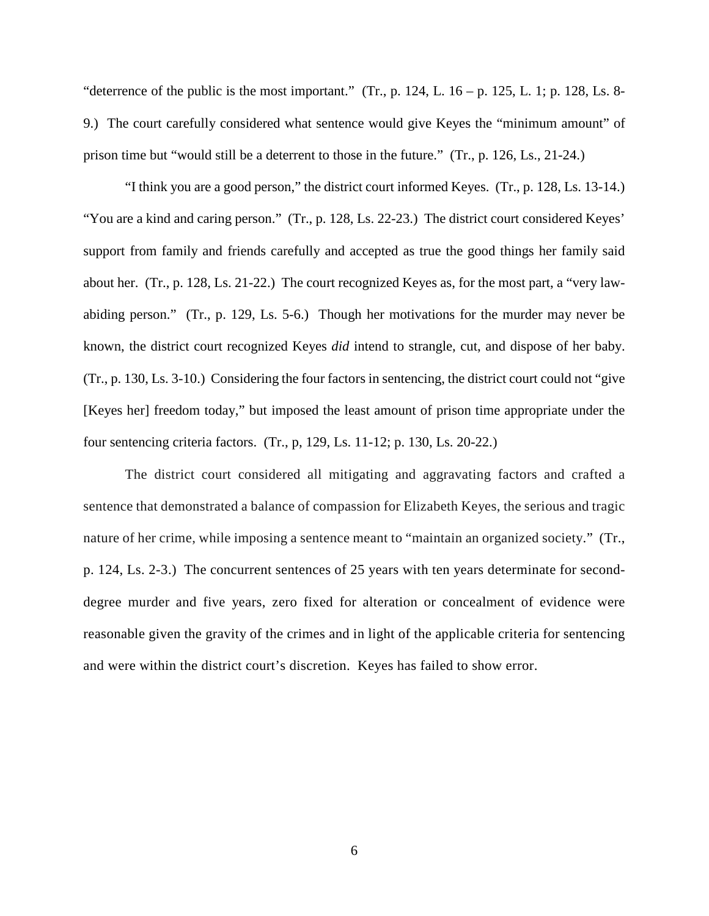"deterrence of the public is the most important." (Tr., p. 124, L.  $16 - p$ . 125, L. 1; p. 128, Ls. 8-9.) The court carefully considered what sentence would give Keyes the "minimum amount" of prison time but "would still be a deterrent to those in the future." (Tr., p. 126, Ls., 21-24.)

"I think you are a good person," the district court informed Keyes. (Tr., p. 128, Ls. 13-14.) "You are a kind and caring person." (Tr., p. 128, Ls. 22-23.) The district court considered Keyes' support from family and friends carefully and accepted as true the good things her family said about her. (Tr., p. 128, Ls. 21-22.) The court recognized Keyes as, for the most part, a "very lawabiding person." (Tr., p. 129, Ls. 5-6.) Though her motivations for the murder may never be known, the district court recognized Keyes *did* intend to strangle, cut, and dispose of her baby. (Tr., p. 130, Ls. 3-10.) Considering the four factors in sentencing, the district court could not "give [Keyes her] freedom today," but imposed the least amount of prison time appropriate under the four sentencing criteria factors. (Tr., p, 129, Ls. 11-12; p. 130, Ls. 20-22.)

The district court considered all mitigating and aggravating factors and crafted a sentence that demonstrated a balance of compassion for Elizabeth Keyes, the serious and tragic nature of her crime, while imposing a sentence meant to "maintain an organized society." (Tr., p. 124, Ls. 2-3.) The concurrent sentences of 25 years with ten years determinate for seconddegree murder and five years, zero fixed for alteration or concealment of evidence were reasonable given the gravity of the crimes and in light of the applicable criteria for sentencing and were within the district court's discretion. Keyes has failed to show error.